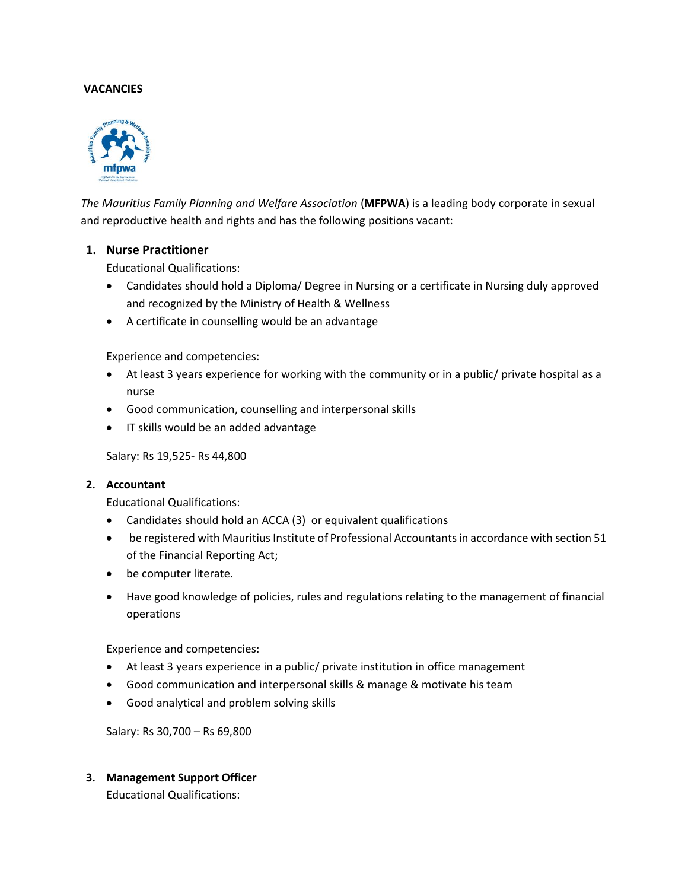#### **VACANCIES**



*The Mauritius Family Planning and Welfare Association* (**MFPWA**) is a leading body corporate in sexual and reproductive health and rights and has the following positions vacant:

# **1. Nurse Practitioner**

Educational Qualifications:

- Candidates should hold a Diploma/ Degree in Nursing or a certificate in Nursing duly approved and recognized by the Ministry of Health & Wellness
- A certificate in counselling would be an advantage

Experience and competencies:

- At least 3 years experience for working with the community or in a public/ private hospital as a nurse
- Good communication, counselling and interpersonal skills
- IT skills would be an added advantage

Salary: Rs 19,525- Rs 44,800

# **2. Accountant**

Educational Qualifications:

- Candidates should hold an ACCA (3) or equivalent qualifications
- be registered with Mauritius Institute of Professional Accountants in accordance with section 51 of the Financial Reporting Act;
- be computer literate.
- Have good knowledge of policies, rules and regulations relating to the management of financial operations

Experience and competencies:

- At least 3 years experience in a public/ private institution in office management
- Good communication and interpersonal skills & manage & motivate his team
- Good analytical and problem solving skills

Salary: Rs 30,700 – Rs 69,800

# **3. Management Support Officer**

Educational Qualifications: